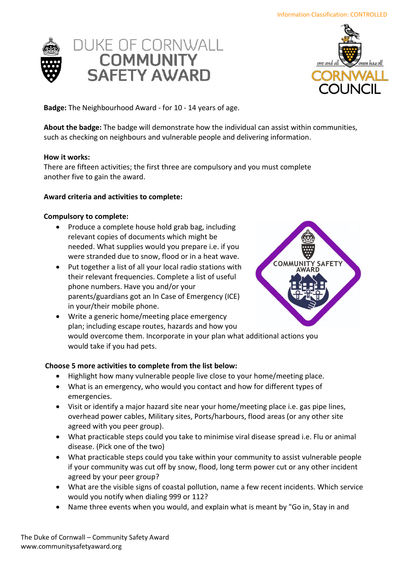



**Badge:** The Neighbourhood Award - for 10 - 14 years of age.

**About the badge:** The badge will demonstrate how the individual can assist within communities, such as checking on neighbours and vulnerable people and delivering information.

## **How it works:**

There are fifteen activities; the first three are compulsory and you must complete another five to gain the award.

## **Award criteria and activities to complete:**

### **Compulsory to complete:**

- Produce a complete house hold grab bag, including relevant copies of documents which might be needed. What supplies would you prepare i.e. if you were stranded due to snow, flood or in a heat wave.
- Put together a list of all your local radio stations with their relevant frequencies. Complete a list of useful phone numbers. Have you and/or your parents/guardians got an In Case of Emergency (ICE) in your/their mobile phone.



• Write a generic home/meeting place emergency plan; including escape routes, hazards and how you would overcome them. Incorporate in your plan what additional actions you would take if you had pets.

## **Choose 5 more activities to complete from the list below:**

- Highlight how many vulnerable people live close to your home/meeting place.
- What is an emergency, who would you contact and how for different types of emergencies.
- Visit or identify a major hazard site near your home/meeting place i.e. gas pipe lines, overhead power cables, Military sites, Ports/harbours, flood areas (or any other site agreed with you peer group).
- What practicable steps could you take to minimise viral disease spread i.e. Flu or animal disease. (Pick one of the two)
- What practicable steps could you take within your community to assist vulnerable people if your community was cut off by snow, flood, long term power cut or any other incident agreed by your peer group?
- What are the visible signs of coastal pollution, name a few recent incidents. Which service would you notify when dialing 999 or 112?
- Name three events when you would, and explain what is meant by "Go in, Stay in and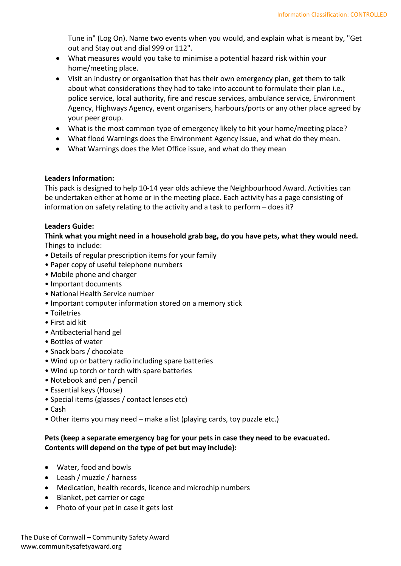Tune in" (Log On). Name two events when you would, and explain what is meant by, "Get out and Stay out and dial 999 or 112".

- What measures would you take to minimise a potential hazard risk within your home/meeting place.
- Visit an industry or organisation that has their own emergency plan, get them to talk about what considerations they had to take into account to formulate their plan i.e., police service, local authority, fire and rescue services, ambulance service, Environment Agency, Highways Agency, event organisers, harbours/ports or any other place agreed by your peer group.
- What is the most common type of emergency likely to hit your home/meeting place?
- What flood Warnings does the Environment Agency issue, and what do they mean.
- What Warnings does the Met Office issue, and what do they mean

### **Leaders Information:**

This pack is designed to help 10-14 year olds achieve the Neighbourhood Award. Activities can be undertaken either at home or in the meeting place. Each activity has a page consisting of information on safety relating to the activity and a task to perform – does it?

### **Leaders Guide:**

**Think what you might need in a household grab bag, do you have pets, what they would need.** Things to include:

- Details of regular prescription items for your family
- Paper copy of useful telephone numbers
- Mobile phone and charger
- Important documents
- National Health Service number
- Important computer information stored on a memory stick
- Toiletries
- First aid kit
- Antibacterial hand gel
- Bottles of water
- Snack bars / chocolate
- Wind up or battery radio including spare batteries
- Wind up torch or torch with spare batteries
- Notebook and pen / pencil
- Essential keys (House)
- Special items (glasses / contact lenses etc)
- Cash
- Other items you may need make a list (playing cards, toy puzzle etc.)

### **Pets (keep a separate emergency bag for your pets in case they need to be evacuated. Contents will depend on the type of pet but may include):**

- Water, food and bowls
- Leash / muzzle / harness
- Medication, health records, licence and microchip numbers
- Blanket, pet carrier or cage
- Photo of your pet in case it gets lost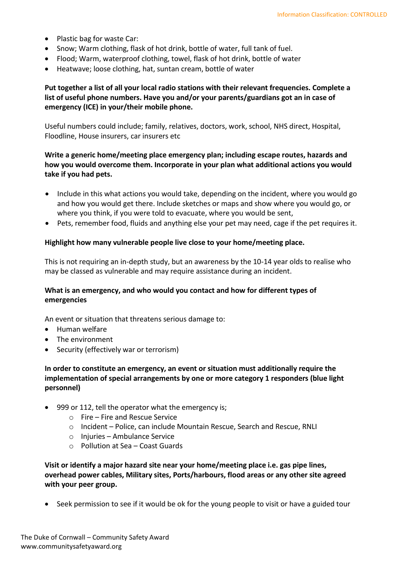- Plastic bag for waste Car:
- Snow; Warm clothing, flask of hot drink, bottle of water, full tank of fuel.
- Flood; Warm, waterproof clothing, towel, flask of hot drink, bottle of water
- Heatwave; loose clothing, hat, suntan cream, bottle of water

# **Put together a list of all your local radio stations with their relevant frequencies. Complete a list of useful phone numbers. Have you and/or your parents/guardians got an in case of emergency (ICE) in your/their mobile phone.**

Useful numbers could include; family, relatives, doctors, work, school, NHS direct, Hospital, Floodline, House insurers, car insurers etc

# **Write a generic home/meeting place emergency plan; including escape routes, hazards and how you would overcome them. Incorporate in your plan what additional actions you would take if you had pets.**

- Include in this what actions you would take, depending on the incident, where you would go and how you would get there. Include sketches or maps and show where you would go, or where you think, if you were told to evacuate, where you would be sent,
- Pets, remember food, fluids and anything else your pet may need, cage if the pet requires it.

### **Highlight how many vulnerable people live close to your home/meeting place.**

This is not requiring an in-depth study, but an awareness by the 10-14 year olds to realise who may be classed as vulnerable and may require assistance during an incident.

### **What is an emergency, and who would you contact and how for different types of emergencies**

An event or situation that threatens serious damage to:

- Human welfare
- The environment
- Security (effectively war or terrorism)

### **In order to constitute an emergency, an event or situation must additionally require the implementation of special arrangements by one or more category 1 responders (blue light personnel)**

- 999 or 112, tell the operator what the emergency is;
	- o Fire Fire and Rescue Service
	- o Incident Police, can include Mountain Rescue, Search and Rescue, RNLI
	- o Injuries Ambulance Service
	- o Pollution at Sea Coast Guards

**Visit or identify a major hazard site near your home/meeting place i.e. gas pipe lines, overhead power cables, Military sites, Ports/harbours, flood areas or any other site agreed with your peer group.**

• Seek permission to see if it would be ok for the young people to visit or have a guided tour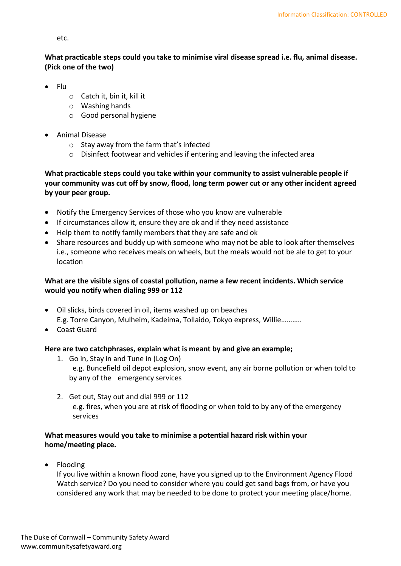etc.

# **What practicable steps could you take to minimise viral disease spread i.e. flu, animal disease. (Pick one of the two)**

- Flu
	- o Catch it, bin it, kill it
	- o Washing hands
	- o Good personal hygiene
- Animal Disease
	- o Stay away from the farm that's infected
	- o Disinfect footwear and vehicles if entering and leaving the infected area

# **What practicable steps could you take within your community to assist vulnerable people if your community was cut off by snow, flood, long term power cut or any other incident agreed by your peer group.**

- Notify the Emergency Services of those who you know are vulnerable
- If circumstances allow it, ensure they are ok and if they need assistance
- Help them to notify family members that they are safe and ok
- Share resources and buddy up with someone who may not be able to look after themselves i.e., someone who receives meals on wheels, but the meals would not be ale to get to your location

## **What are the visible signs of coastal pollution, name a few recent incidents. Which service would you notify when dialing 999 or 112**

- Oil slicks, birds covered in oil, items washed up on beaches E.g. Torre Canyon, Mulheim, Kadeima, Tollaido, Tokyo express, Willie………..
- Coast Guard

## **Here are two catchphrases, explain what is meant by and give an example;**

- 1. Go in, Stay in and Tune in (Log On) e.g. Buncefield oil depot explosion, snow event, any air borne pollution or when told to by any of the emergency services
- 2. Get out, Stay out and dial 999 or 112 e.g. fires, when you are at risk of flooding or when told to by any of the emergency services

## **What measures would you take to minimise a potential hazard risk within your home/meeting place.**

• Flooding

If you live within a known flood zone, have you signed up to the Environment Agency Flood Watch service? Do you need to consider where you could get sand bags from, or have you considered any work that may be needed to be done to protect your meeting place/home.